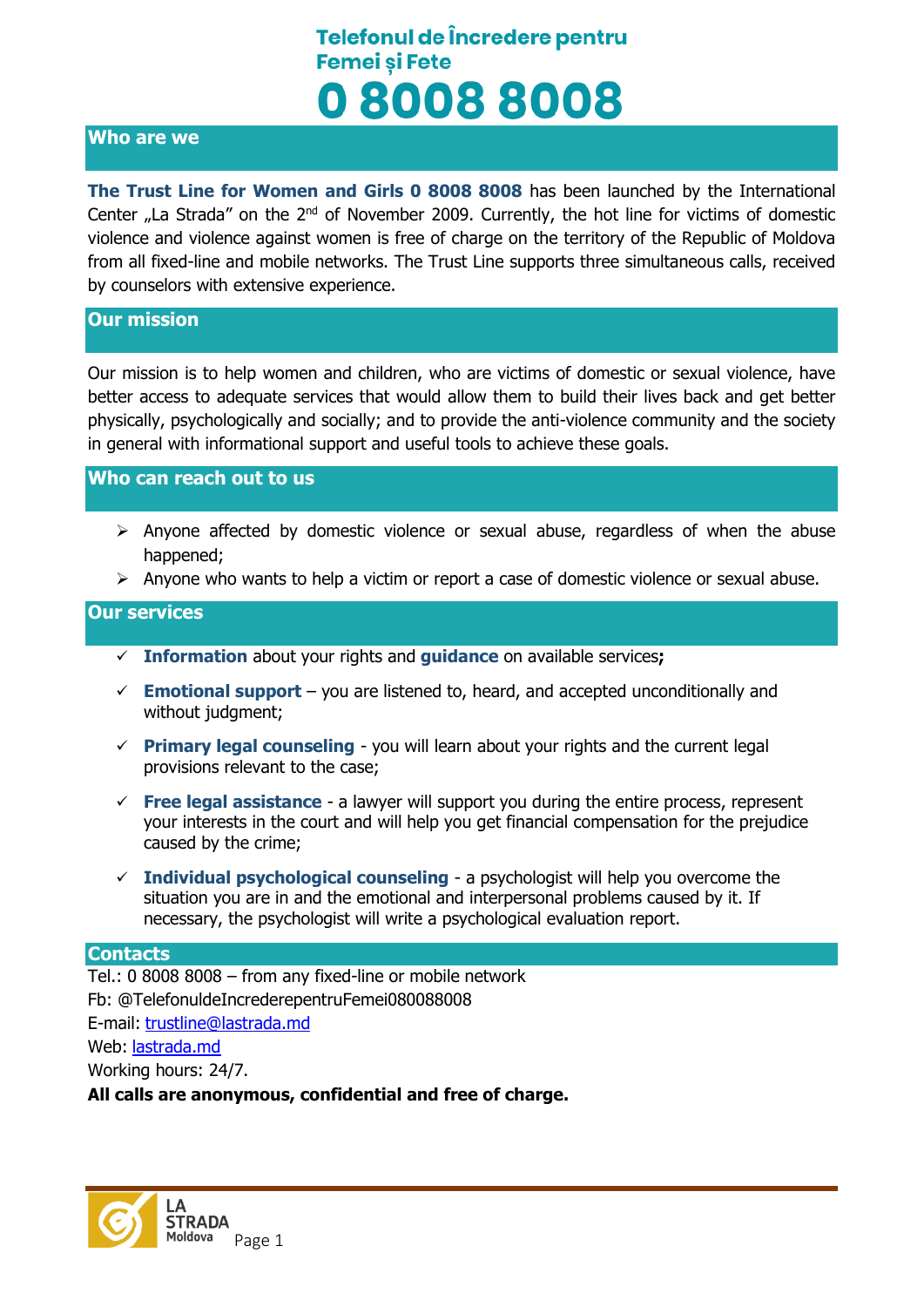### **Who are we**

**The Trust Line for Women and Girls 0 8008 8008** has been launched by the International Center  $n$  La Strada" on the  $2^{nd}$  of November 2009. Currently, the hot line for victims of domestic violence and violence against women is free of charge on the territory of the Republic of Moldova from all fixed-line and mobile networks. The Trust Line supports three simultaneous calls, received by counselors with extensive experience.

### **Our mission**

Our mission is to help women and children, who are victims of domestic or sexual violence, have better access to adequate services that would allow them to build their lives back and get better physically, psychologically and socially; and to provide the anti-violence community and the society in general with informational support and useful tools to achieve these goals.

#### **Who can reach out to us**

- $\triangleright$  Anyone affected by domestic violence or sexual abuse, regardless of when the abuse happened;
- $\triangleright$  Anyone who wants to help a victim or report a case of domestic violence or sexual abuse.

### **Our services**

- **Information** about your rights and **guidance** on available services**;**
- $\checkmark$  **Emotional support** you are listened to, heard, and accepted unconditionally and without judgment;
- **Primary legal counseling** you will learn about your rights and the current legal provisions relevant to the case;
- **Free legal assistance** a lawyer will support you during the entire process, represent your interests in the court and will help you get financial compensation for the prejudice caused by the crime;
- **Individual psychological counseling** a psychologist will help you overcome the situation you are in and the emotional and interpersonal problems caused by it. If necessary, the psychologist will write a psychological evaluation report.

#### **Contacts**

Tel.: 0 8008 8008 – from any fixed-line or mobile network Fb: @TelefonuldeIncrederepentruFemei080088008 E-mail: [trustline@lastrada.md](mailto:trustline@lastrada.md) Web: [lastrada.md](http://lastrada.md/) Working hours: 24/7. **All calls are anonymous, confidential and free of charge.**

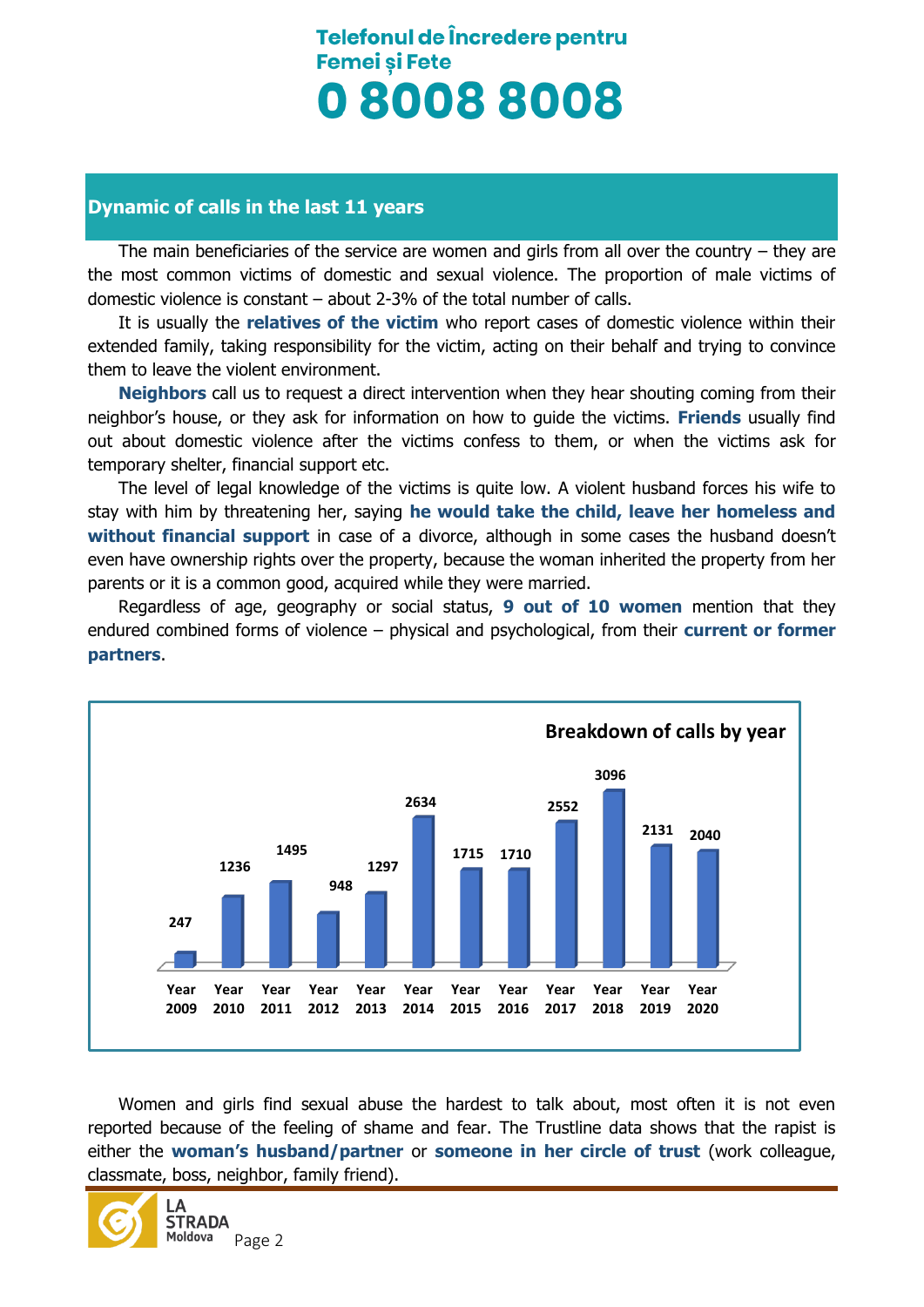## **Dynamic of calls in the last 11 years**

The main beneficiaries of the service are women and girls from all over the country – they are the most common victims of domestic and sexual violence. The proportion of male victims of domestic violence is constant – about 2-3% of the total number of calls.

It is usually the **relatives of the victim** who report cases of domestic violence within their extended family, taking responsibility for the victim, acting on their behalf and trying to convince them to leave the violent environment.

**Neighbors** call us to request a direct intervention when they hear shouting coming from their neighbor's house, or they ask for information on how to guide the victims. **Friends** usually find out about domestic violence after the victims confess to them, or when the victims ask for temporary shelter, financial support etc.

The level of legal knowledge of the victims is quite low. A violent husband forces his wife to stay with him by threatening her, saying **he would take the child, leave her homeless and without financial support** in case of a divorce, although in some cases the husband doesn't even have ownership rights over the property, because the woman inherited the property from her parents or it is a common good, acquired while they were married.

Regardless of age, geography or social status, **9 out of 10 women** mention that they endured combined forms of violence – physical and psychological, from their **current or former partners**.



Women and girls find sexual abuse the hardest to talk about, most often it is not even reported because of the feeling of shame and fear. The Trustline data shows that the rapist is either the **woman's husband/partner** or **someone in her circle of trust** (work colleague, classmate, boss, neighbor, family friend).

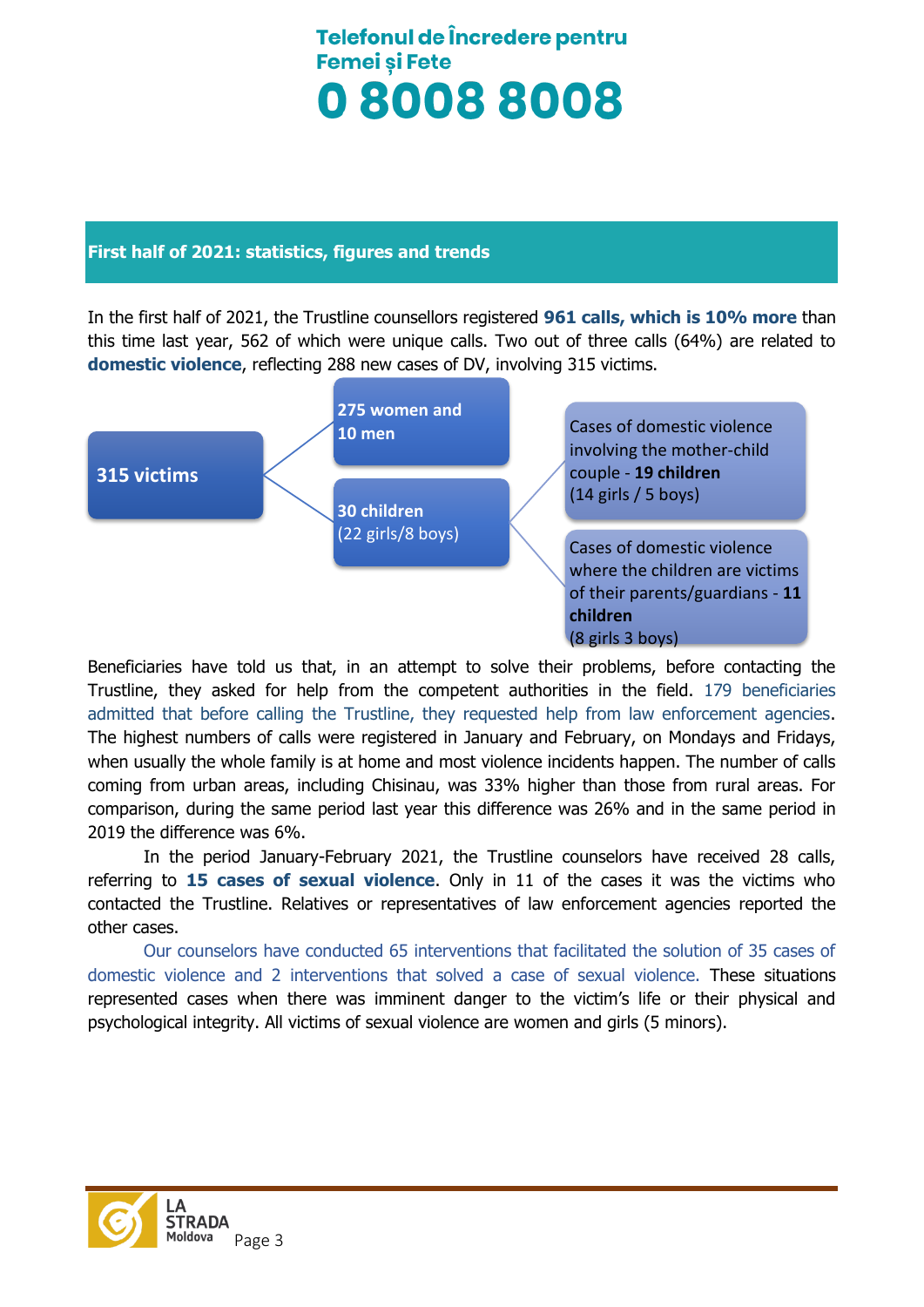### **First half of 2021: statistics, figures and trends**

In the first half of 2021, the Trustline counsellors registered **961 calls, which is 10% more** than this time last year, 562 of which were unique calls. Two out of three calls (64%) are related to **domestic violence**, reflecting 288 new cases of DV, involving 315 victims.



Beneficiaries have told us that, in an attempt to solve their problems, before contacting the Trustline, they asked for help from the competent authorities in the field. 179 beneficiaries admitted that before calling the Trustline, they requested help from law enforcement agencies. The highest numbers of calls were registered in January and February, on Mondays and Fridays, when usually the whole family is at home and most violence incidents happen. The number of calls coming from urban areas, including Chisinau, was 33% higher than those from rural areas. For comparison, during the same period last year this difference was 26% and in the same period in 2019 the difference was 6%.

In the period January-February 2021, the Trustline counselors have received 28 calls, referring to **15 cases of sexual violence**. Only in 11 of the cases it was the victims who contacted the Trustline. Relatives or representatives of law enforcement agencies reported the other cases.

Our counselors have conducted 65 interventions that facilitated the solution of 35 cases of domestic violence and 2 interventions that solved a case of sexual violence. These situations represented cases when there was imminent danger to the victim's life or their physical and psychological integrity. All victims of sexual violence are women and girls (5 minors).